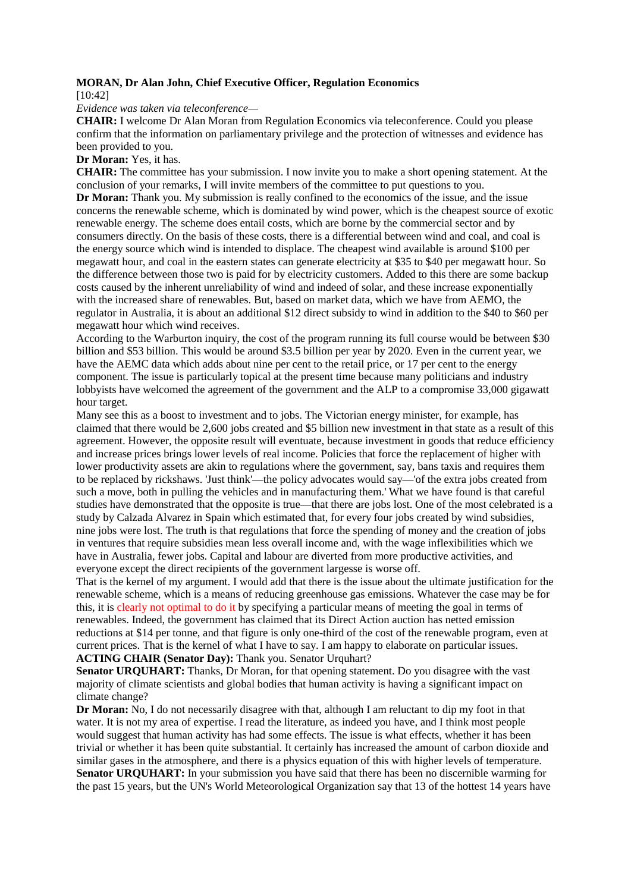## **MORAN, Dr Alan John, Chief Executive Officer, Regulation Economics**

[10:42]

*Evidence was taken via teleconference—*

**CHAIR:** I welcome Dr Alan Moran from Regulation Economics via teleconference. Could you please confirm that the information on parliamentary privilege and the protection of witnesses and evidence has been provided to you.

**Dr Moran:** Yes, it has.

**CHAIR:** The committee has your submission. I now invite you to make a short opening statement. At the conclusion of your remarks, I will invite members of the committee to put questions to you. **Dr Moran:** Thank you. My submission is really confined to the economics of the issue, and the issue concerns the renewable scheme, which is dominated by wind power, which is the cheapest source of exotic renewable energy. The scheme does entail costs, which are borne by the commercial sector and by consumers directly. On the basis of these costs, there is a differential between wind and coal, and coal is the energy source which wind is intended to displace. The cheapest wind available is around \$100 per megawatt hour, and coal in the eastern states can generate electricity at \$35 to \$40 per megawatt hour. So the difference between those two is paid for by electricity customers. Added to this there are some backup costs caused by the inherent unreliability of wind and indeed of solar, and these increase exponentially with the increased share of renewables. But, based on market data, which we have from AEMO, the regulator in Australia, it is about an additional \$12 direct subsidy to wind in addition to the \$40 to \$60 per megawatt hour which wind receives.

According to the Warburton inquiry, the cost of the program running its full course would be between \$30 billion and \$53 billion. This would be around \$3.5 billion per year by 2020. Even in the current year, we have the AEMC data which adds about nine per cent to the retail price, or 17 per cent to the energy component. The issue is particularly topical at the present time because many politicians and industry lobbyists have welcomed the agreement of the government and the ALP to a compromise 33,000 gigawatt hour target.

Many see this as a boost to investment and to jobs. The Victorian energy minister, for example, has claimed that there would be 2,600 jobs created and \$5 billion new investment in that state as a result of this agreement. However, the opposite result will eventuate, because investment in goods that reduce efficiency and increase prices brings lower levels of real income. Policies that force the replacement of higher with lower productivity assets are akin to regulations where the government, say, bans taxis and requires them to be replaced by rickshaws. 'Just think'—the policy advocates would say—'of the extra jobs created from such a move, both in pulling the vehicles and in manufacturing them.' What we have found is that careful studies have demonstrated that the opposite is true—that there are jobs lost. One of the most celebrated is a study by Calzada Alvarez in Spain which estimated that, for every four jobs created by wind subsidies, nine jobs were lost. The truth is that regulations that force the spending of money and the creation of jobs in ventures that require subsidies mean less overall income and, with the wage inflexibilities which we have in Australia, fewer jobs. Capital and labour are diverted from more productive activities, and everyone except the direct recipients of the government largesse is worse off.

That is the kernel of my argument. I would add that there is the issue about the ultimate justification for the renewable scheme, which is a means of reducing greenhouse gas emissions. Whatever the case may be for this, it is clearly not optimal to do it by specifying a particular means of meeting the goal in terms of renewables. Indeed, the government has claimed that its Direct Action auction has netted emission reductions at \$14 per tonne, and that figure is only one-third of the cost of the renewable program, even at current prices. That is the kernel of what I have to say. I am happy to elaborate on particular issues. **ACTING CHAIR (Senator Day):** Thank you. Senator Urquhart?

**Senator URQUHART:** Thanks, Dr Moran, for that opening statement. Do you disagree with the vast majority of climate scientists and global bodies that human activity is having a significant impact on climate change?

**Dr Moran:** No, I do not necessarily disagree with that, although I am reluctant to dip my foot in that water. It is not my area of expertise. I read the literature, as indeed you have, and I think most people would suggest that human activity has had some effects. The issue is what effects, whether it has been trivial or whether it has been quite substantial. It certainly has increased the amount of carbon dioxide and similar gases in the atmosphere, and there is a physics equation of this with higher levels of temperature. **Senator UROUHART:** In your submission you have said that there has been no discernible warming for the past 15 years, but the UN's World Meteorological Organization say that 13 of the hottest 14 years have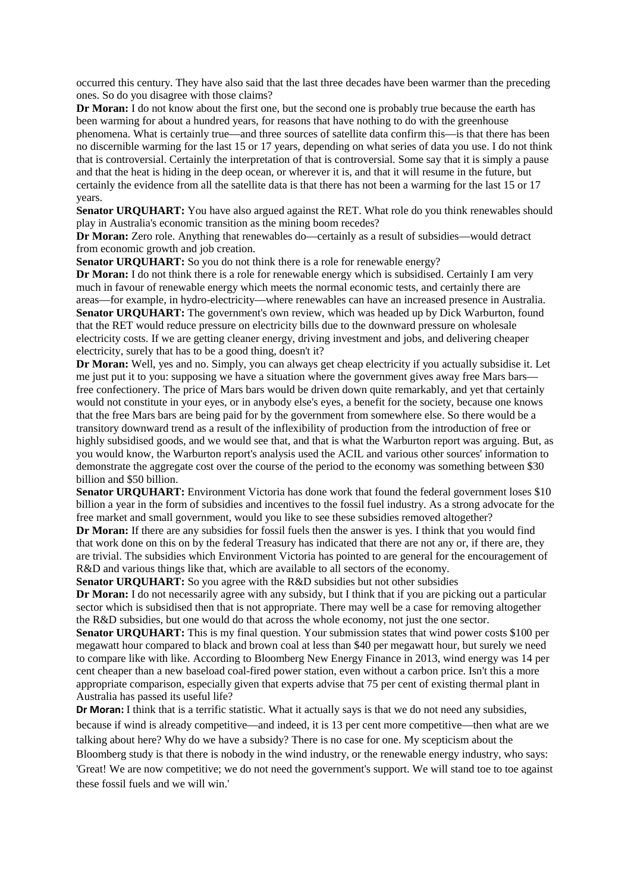occurred this century. They have also said that the last three decades have been warmer than the preceding ones. So do you disagree with those claims?

**Dr Moran:** I do not know about the first one, but the second one is probably true because the earth has been warming for about a hundred years, for reasons that have nothing to do with the greenhouse phenomena. What is certainly true—and three sources of satellite data confirm this—is that there has been no discernible warming for the last 15 or 17 years, depending on what series of data you use. I do not think that is controversial. Certainly the interpretation of that is controversial. Some say that it is simply a pause and that the heat is hiding in the deep ocean, or wherever it is, and that it will resume in the future, but certainly the evidence from all the satellite data is that there has not been a warming for the last 15 or 17 years.

**Senator URQUHART:** You have also argued against the RET. What role do you think renewables should play in Australia's economic transition as the mining boom recedes?

**Dr Moran:** Zero role. Anything that renewables do—certainly as a result of subsidies—would detract from economic growth and job creation.

**Senator URQUHART:** So you do not think there is a role for renewable energy?

**Dr Moran:** I do not think there is a role for renewable energy which is subsidised. Certainly I am very much in favour of renewable energy which meets the normal economic tests, and certainly there are areas—for example, in hydro-electricity—where renewables can have an increased presence in Australia. **Senator URQUHART:** The government's own review, which was headed up by Dick Warburton, found that the RET would reduce pressure on electricity bills due to the downward pressure on wholesale electricity costs. If we are getting cleaner energy, driving investment and jobs, and delivering cheaper electricity, surely that has to be a good thing, doesn't it?

**Dr Moran:** Well, yes and no. Simply, you can always get cheap electricity if you actually subsidise it. Let me just put it to you: supposing we have a situation where the government gives away free Mars bars free confectionery. The price of Mars bars would be driven down quite remarkably, and yet that certainly would not constitute in your eyes, or in anybody else's eyes, a benefit for the society, because one knows that the free Mars bars are being paid for by the government from somewhere else. So there would be a transitory downward trend as a result of the inflexibility of production from the introduction of free or highly subsidised goods, and we would see that, and that is what the Warburton report was arguing. But, as you would know, the Warburton report's analysis used the ACIL and various other sources' information to demonstrate the aggregate cost over the course of the period to the economy was something between \$30 billion and \$50 billion.

Senator URQUHART: Environment Victoria has done work that found the federal government loses \$10 billion a year in the form of subsidies and incentives to the fossil fuel industry. As a strong advocate for the free market and small government, would you like to see these subsidies removed altogether?

**Dr Moran:** If there are any subsidies for fossil fuels then the answer is yes. I think that you would find that work done on this on by the federal Treasury has indicated that there are not any or, if there are, they are trivial. The subsidies which Environment Victoria has pointed to are general for the encouragement of R&D and various things like that, which are available to all sectors of the economy.

**Senator URQUHART:** So you agree with the R&D subsidies but not other subsidies

**Dr Moran:** I do not necessarily agree with any subsidy, but I think that if you are picking out a particular sector which is subsidised then that is not appropriate. There may well be a case for removing altogether the R&D subsidies, but one would do that across the whole economy, not just the one sector.

**Senator UROUHART:** This is my final question. Your submission states that wind power costs \$100 per megawatt hour compared to black and brown coal at less than \$40 per megawatt hour, but surely we need to compare like with like. According to Bloomberg New Energy Finance in 2013, wind energy was 14 per cent cheaper than a new baseload coal-fired power station, even without a carbon price. Isn't this a more appropriate comparison, especially given that experts advise that 75 per cent of existing thermal plant in Australia has passed its useful life?

**Dr Moran:** I think that is a terrific statistic. What it actually says is that we do not need any subsidies, because if wind is already competitive—and indeed, it is 13 per cent more competitive—then what are we talking about here? Why do we have a subsidy? There is no case for one. My scepticism about the Bloomberg study is that there is nobody in the wind industry, or the renewable energy industry, who says: 'Great! We are now competitive; we do not need the government's support. We will stand toe to toe against these fossil fuels and we will win.'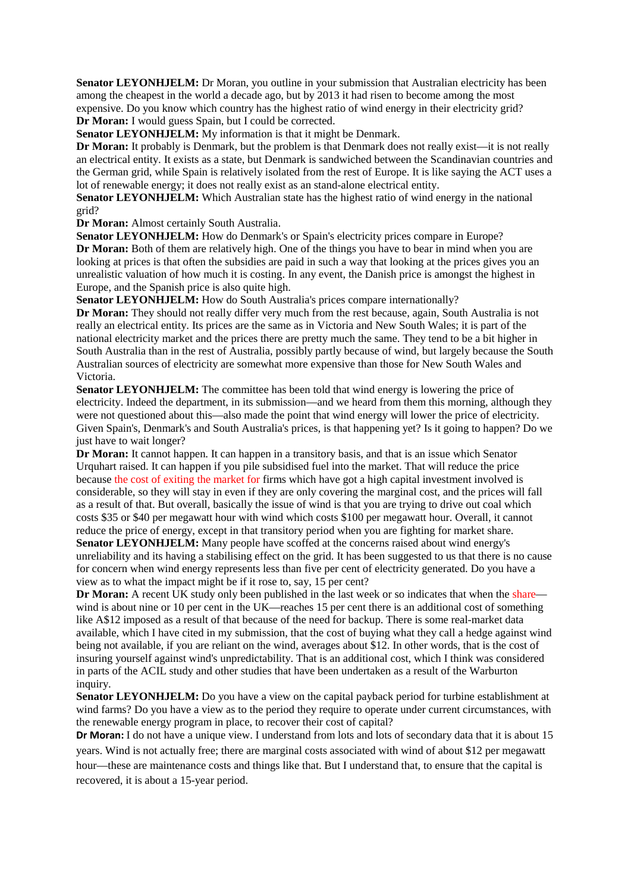**Senator LEYONHJELM:** Dr Moran, you outline in your submission that Australian electricity has been among the cheapest in the world a decade ago, but by 2013 it had risen to become among the most expensive. Do you know which country has the highest ratio of wind energy in their electricity grid? **Dr Moran:** I would guess Spain, but I could be corrected.

**Senator LEYONHJELM:** My information is that it might be Denmark.

**Dr Moran:** It probably is Denmark, but the problem is that Denmark does not really exist—it is not really an electrical entity. It exists as a state, but Denmark is sandwiched between the Scandinavian countries and the German grid, while Spain is relatively isolated from the rest of Europe. It is like saying the ACT uses a lot of renewable energy; it does not really exist as an stand-alone electrical entity.

**Senator LEYONHJELM:** Which Australian state has the highest ratio of wind energy in the national grid?

**Dr Moran:** Almost certainly South Australia.

**Senator LEYONHJELM:** How do Denmark's or Spain's electricity prices compare in Europe? **Dr Moran:** Both of them are relatively high. One of the things you have to bear in mind when you are looking at prices is that often the subsidies are paid in such a way that looking at the prices gives you an unrealistic valuation of how much it is costing. In any event, the Danish price is amongst the highest in Europe, and the Spanish price is also quite high.

**Senator LEYONHJELM:** How do South Australia's prices compare internationally?

**Dr Moran:** They should not really differ very much from the rest because, again, South Australia is not really an electrical entity. Its prices are the same as in Victoria and New South Wales; it is part of the national electricity market and the prices there are pretty much the same. They tend to be a bit higher in South Australia than in the rest of Australia, possibly partly because of wind, but largely because the South Australian sources of electricity are somewhat more expensive than those for New South Wales and Victoria.

**Senator LEYONHJELM:** The committee has been told that wind energy is lowering the price of electricity. Indeed the department, in its submission—and we heard from them this morning, although they were not questioned about this—also made the point that wind energy will lower the price of electricity. Given Spain's, Denmark's and South Australia's prices, is that happening yet? Is it going to happen? Do we just have to wait longer?

**Dr Moran:** It cannot happen. It can happen in a transitory basis, and that is an issue which Senator Urquhart raised. It can happen if you pile subsidised fuel into the market. That will reduce the price because the cost of exiting the market for firms which have got a high capital investment involved is considerable, so they will stay in even if they are only covering the marginal cost, and the prices will fall as a result of that. But overall, basically the issue of wind is that you are trying to drive out coal which costs \$35 or \$40 per megawatt hour with wind which costs \$100 per megawatt hour. Overall, it cannot reduce the price of energy, except in that transitory period when you are fighting for market share.

**Senator LEYONHJELM:** Many people have scoffed at the concerns raised about wind energy's unreliability and its having a stabilising effect on the grid. It has been suggested to us that there is no cause for concern when wind energy represents less than five per cent of electricity generated. Do you have a view as to what the impact might be if it rose to, say, 15 per cent?

**Dr Moran:** A recent UK study only been published in the last week or so indicates that when the share wind is about nine or 10 per cent in the UK—reaches 15 per cent there is an additional cost of something like A\$12 imposed as a result of that because of the need for backup. There is some real-market data available, which I have cited in my submission, that the cost of buying what they call a hedge against wind being not available, if you are reliant on the wind, averages about \$12. In other words, that is the cost of insuring yourself against wind's unpredictability. That is an additional cost, which I think was considered in parts of the ACIL study and other studies that have been undertaken as a result of the Warburton inquiry.

Senator LEYONHJELM: Do you have a view on the capital payback period for turbine establishment at wind farms? Do you have a view as to the period they require to operate under current circumstances, with the renewable energy program in place, to recover their cost of capital?

**Dr Moran:** I do not have a unique view. I understand from lots and lots of secondary data that it is about 15

years. Wind is not actually free; there are marginal costs associated with wind of about \$12 per megawatt hour—these are maintenance costs and things like that. But I understand that, to ensure that the capital is recovered, it is about a 15-year period.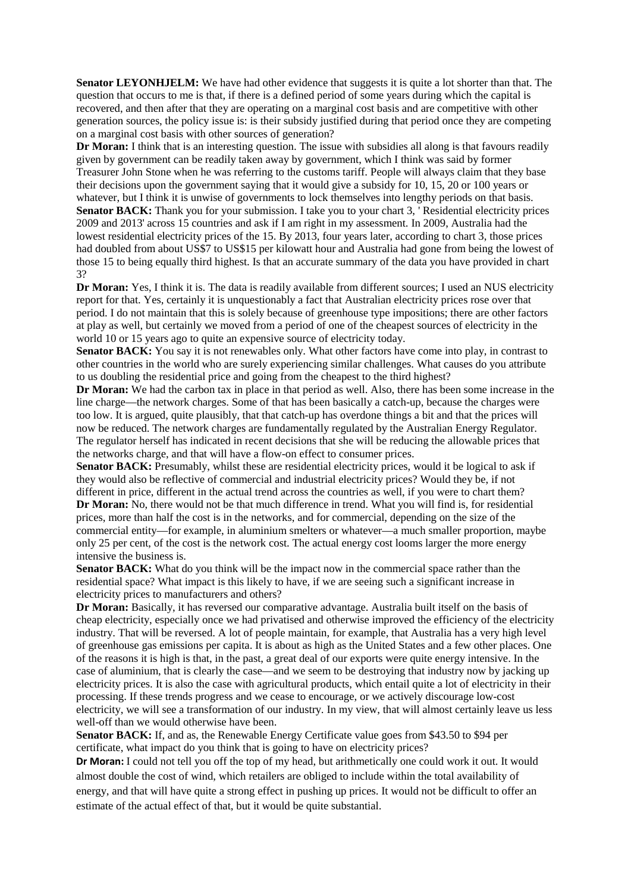**Senator LEYONHJELM:** We have had other evidence that suggests it is quite a lot shorter than that. The question that occurs to me is that, if there is a defined period of some years during which the capital is recovered, and then after that they are operating on a marginal cost basis and are competitive with other generation sources, the policy issue is: is their subsidy justified during that period once they are competing on a marginal cost basis with other sources of generation?

**Dr Moran:** I think that is an interesting question. The issue with subsidies all along is that favours readily given by government can be readily taken away by government, which I think was said by former Treasurer John Stone when he was referring to the customs tariff. People will always claim that they base their decisions upon the government saying that it would give a subsidy for 10, 15, 20 or 100 years or whatever, but I think it is unwise of governments to lock themselves into lengthy periods on that basis. **Senator BACK:** Thank you for your submission. I take you to your chart 3, ' Residential electricity prices 2009 and 2013' across 15 countries and ask if I am right in my assessment. In 2009, Australia had the lowest residential electricity prices of the 15. By 2013, four years later, according to chart 3, those prices had doubled from about US\$7 to US\$15 per kilowatt hour and Australia had gone from being the lowest of those 15 to being equally third highest. Is that an accurate summary of the data you have provided in chart 3?

**Dr Moran:** Yes, I think it is. The data is readily available from different sources; I used an NUS electricity report for that. Yes, certainly it is unquestionably a fact that Australian electricity prices rose over that period. I do not maintain that this is solely because of greenhouse type impositions; there are other factors at play as well, but certainly we moved from a period of one of the cheapest sources of electricity in the world 10 or 15 years ago to quite an expensive source of electricity today.

**Senator BACK:** You say it is not renewables only. What other factors have come into play, in contrast to other countries in the world who are surely experiencing similar challenges. What causes do you attribute to us doubling the residential price and going from the cheapest to the third highest?

**Dr Moran:** We had the carbon tax in place in that period as well. Also, there has been some increase in the line charge—the network charges. Some of that has been basically a catch-up, because the charges were too low. It is argued, quite plausibly, that that catch-up has overdone things a bit and that the prices will now be reduced. The network charges are fundamentally regulated by the Australian Energy Regulator. The regulator herself has indicated in recent decisions that she will be reducing the allowable prices that the networks charge, and that will have a flow-on effect to consumer prices.

**Senator BACK:** Presumably, whilst these are residential electricity prices, would it be logical to ask if they would also be reflective of commercial and industrial electricity prices? Would they be, if not different in price, different in the actual trend across the countries as well, if you were to chart them? **Dr Moran:** No, there would not be that much difference in trend. What you will find is, for residential prices, more than half the cost is in the networks, and for commercial, depending on the size of the commercial entity—for example, in aluminium smelters or whatever—a much smaller proportion, maybe only 25 per cent, of the cost is the network cost. The actual energy cost looms larger the more energy intensive the business is.

**Senator BACK:** What do you think will be the impact now in the commercial space rather than the residential space? What impact is this likely to have, if we are seeing such a significant increase in electricity prices to manufacturers and others?

**Dr Moran:** Basically, it has reversed our comparative advantage. Australia built itself on the basis of cheap electricity, especially once we had privatised and otherwise improved the efficiency of the electricity industry. That will be reversed. A lot of people maintain, for example, that Australia has a very high level of greenhouse gas emissions per capita. It is about as high as the United States and a few other places. One of the reasons it is high is that, in the past, a great deal of our exports were quite energy intensive. In the case of aluminium, that is clearly the case—and we seem to be destroying that industry now by jacking up electricity prices. It is also the case with agricultural products, which entail quite a lot of electricity in their processing. If these trends progress and we cease to encourage, or we actively discourage low-cost electricity, we will see a transformation of our industry. In my view, that will almost certainly leave us less well-off than we would otherwise have been.

**Senator BACK:** If, and as, the Renewable Energy Certificate value goes from \$43.50 to \$94 per certificate, what impact do you think that is going to have on electricity prices?

**Dr Moran:** I could not tell you off the top of my head, but arithmetically one could work it out. It would almost double the cost of wind, which retailers are obliged to include within the total availability of energy, and that will have quite a strong effect in pushing up prices. It would not be difficult to offer an estimate of the actual effect of that, but it would be quite substantial.